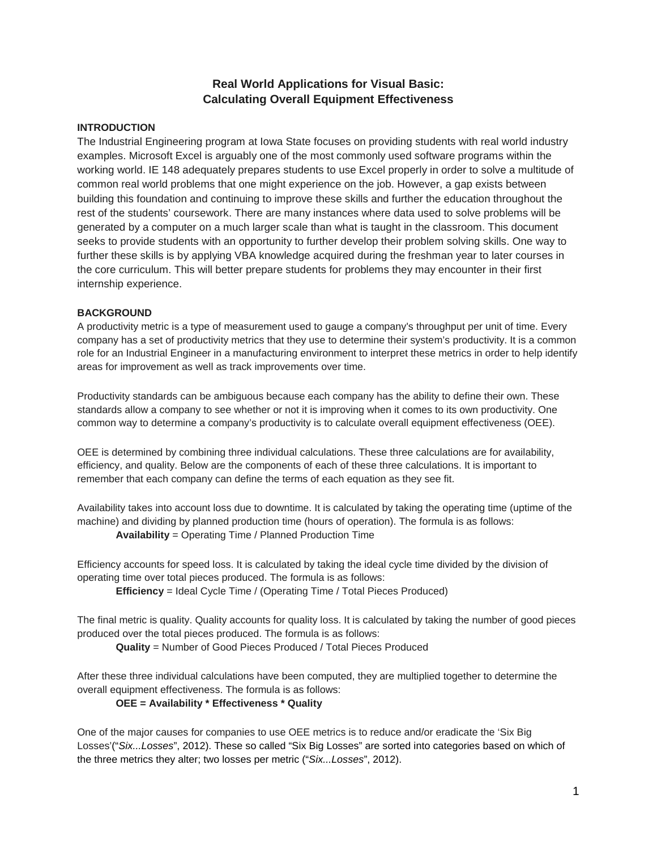# **Real World Applications for Visual Basic: Calculating Overall Equipment Effectiveness**

## **INTRODUCTION**

The Industrial Engineering program at Iowa State focuses on providing students with real world industry examples. Microsoft Excel is arguably one of the most commonly used software programs within the working world. IE 148 adequately prepares students to use Excel properly in order to solve a multitude of common real world problems that one might experience on the job. However, a gap exists between building this foundation and continuing to improve these skills and further the education throughout the rest of the students' coursework. There are many instances where data used to solve problems will be generated by a computer on a much larger scale than what is taught in the classroom. This document seeks to provide students with an opportunity to further develop their problem solving skills. One way to further these skills is by applying VBA knowledge acquired during the freshman year to later courses in the core curriculum. This will better prepare students for problems they may encounter in their first internship experience.

## **BACKGROUND**

A productivity metric is a type of measurement used to gauge a company's throughput per unit of time. Every company has a set of productivity metrics that they use to determine their system's productivity. It is a common role for an Industrial Engineer in a manufacturing environment to interpret these metrics in order to help identify areas for improvement as well as track improvements over time.

Productivity standards can be ambiguous because each company has the ability to define their own. These standards allow a company to see whether or not it is improving when it comes to its own productivity. One common way to determine a company's productivity is to calculate overall equipment effectiveness (OEE).

OEE is determined by combining three individual calculations. These three calculations are for availability, efficiency, and quality. Below are the components of each of these three calculations. It is important to remember that each company can define the terms of each equation as they see fit.

Availability takes into account loss due to downtime. It is calculated by taking the operating time (uptime of the machine) and dividing by planned production time (hours of operation). The formula is as follows: **Availability** = Operating Time / Planned Production Time

Efficiency accounts for speed loss. It is calculated by taking the ideal cycle time divided by the division of operating time over total pieces produced. The formula is as follows:

**Efficiency** = Ideal Cycle Time / (Operating Time / Total Pieces Produced)

The final metric is quality. Quality accounts for quality loss. It is calculated by taking the number of good pieces produced over the total pieces produced. The formula is as follows:

**Quality** = Number of Good Pieces Produced / Total Pieces Produced

After these three individual calculations have been computed, they are multiplied together to determine the overall equipment effectiveness. The formula is as follows:

## **OEE = Availability \* Effectiveness \* Quality**

One of the major causes for companies to use OEE metrics is to reduce and/or eradicate the 'Six Big Losses'("*Six...Losses*", 2012). These so called "Six Big Losses" are sorted into categories based on which of the three metrics they alter; two losses per metric ("*Six...Losses*", 2012).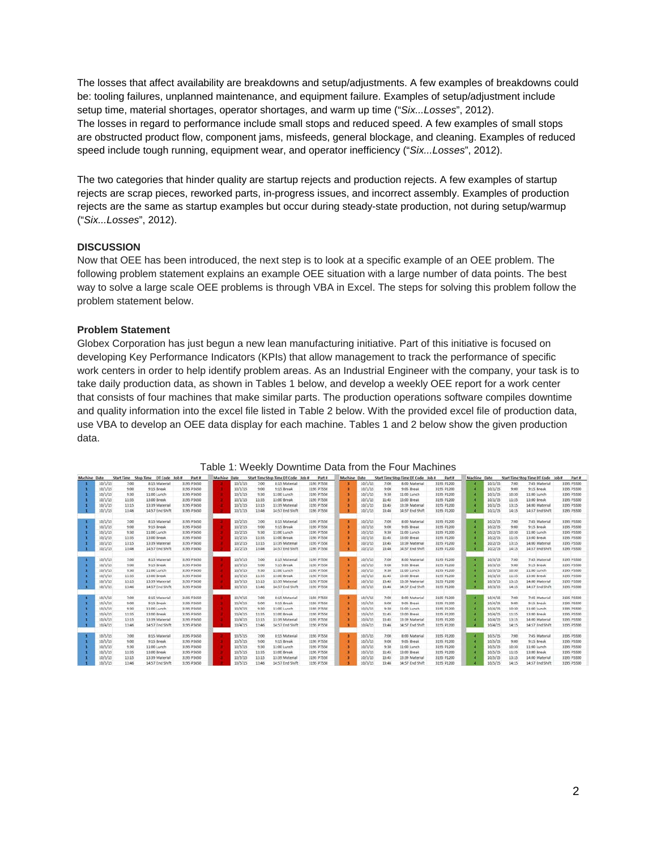The losses that affect availability are breakdowns and setup/adjustments. A few examples of breakdowns could be: tooling failures, unplanned maintenance, and equipment failure. Examples of setup/adjustment include setup time, material shortages, operator shortages, and warm up time ("*Six...Losses*", 2012). The losses in regard to performance include small stops and reduced speed. A few examples of small stops are obstructed product flow, component jams, misfeeds, general blockage, and cleaning. Examples of reduced speed include tough running, equipment wear, and operator inefficiency ("*Six...Losses*", 2012).

The two categories that hinder quality are startup rejects and production rejects. A few examples of startup rejects are scrap pieces, reworked parts, in-progress issues, and incorrect assembly. Examples of production rejects are the same as startup examples but occur during steady-state production, not during setup/warmup ("*Six...Losses*", 2012).

## **DISCUSSION**

Now that OEE has been introduced, the next step is to look at a specific example of an OEE problem. The following problem statement explains an example OEE situation with a large number of data points. The best way to solve a large scale OEE problems is through VBA in Excel. The steps for solving this problem follow the problem statement below.

## **Problem Statement**

Globex Corporation has just begun a new lean manufacturing initiative. Part of this initiative is focused on developing Key Performance Indicators (KPIs) that allow management to track the performance of specific work centers in order to help identify problem areas. As an Industrial Engineer with the company, your task is to take daily production data, as shown in Tables 1 below, and develop a weekly OEE report for a work center that consists of four machines that make similar parts. The production operations software compiles downtime and quality information into the excel file listed in Table 2 below. With the provided excel file of production data, use VBA to develop an OEE data display for each machine. Tables 1 and 2 below show the given production data.

| Machine Date |         | <b>Start Time</b> | Stop Time DT Code Job # | Part #     | Machine Date |         |       | Start Time Stop Time DT Code Job # | Part #     | Machine Date |         |       | Start Time Stop Time DT Code Job # | Part #      | Machine Date |         |       | Start Time Stop Time DT Code Job # | Part #     |
|--------------|---------|-------------------|-------------------------|------------|--------------|---------|-------|------------------------------------|------------|--------------|---------|-------|------------------------------------|-------------|--------------|---------|-------|------------------------------------|------------|
|              | 10/1/15 | 7:00              | 8:15 Material           | 3195 P3650 |              | 10/3/15 | 7:00  | 8:15 Material                      | 3195 P7550 |              | 10/3/15 | 7:00  | 8:00 Material                      | 3195 P1200  | n            | 10/1/15 | 7:00  | 7:45 Material                      | 3195 P5500 |
|              | 10/1/15 | 9:00              | 9:15 Break              | 3195 P3650 |              | 10/1/15 | 9:00  | 9:15 Break                         | 3195 97550 |              | 10/1/15 | 9:00  | 9:05 Break                         | 3195 P1200  | n            | 10/1/15 | 9:00  | 9:15 Break                         | 3195 P5500 |
|              | 10/1/15 | 9:30              | 11:00 Lunch             | 3195 P3650 |              | 10/1/15 | 9:30  | 11:00 Lunch                        | 3195 P7550 |              | 10/1/15 | 9:30  | 11:00 Lunch                        | 3195 P1200  | n            | 10/1/15 | 10:30 | 11:00 Lunch                        | 3195 P5500 |
|              | 10/1/15 | 11:35             | 13:00 Break             | 3195 P3650 |              | 10/1/15 | 11:35 | 13:00 Break                        | 3195 P7550 |              | 10/1/15 | 11:45 | 13:00 Break                        | 3195 P1200  | п            | 10/1/15 | 11:35 | 13:00 Break                        | 3195 P5500 |
|              | 10/1/15 | 13:15             | 13:39 Material          | 3195 P3650 |              | 10/1/15 | 13:15 | 13:39 Material                     | 3195 P7550 |              | 10/1/15 | 13:45 | 13:39 Material                     | 3195 P1200  |              | 10/1/15 | 13:15 | 14:00 Material                     | 3195 P5500 |
|              | 10/1/15 | 13:46             | 14:57 End Shift         | 3195 P3650 |              | 10/1/15 | 13:46 | 14:57 End Shift                    | 3195 P7550 |              | 10/1/15 | 13:46 | 14:57 End Shift                    | 3195 91200  | o            | 10/1/15 | 14:15 | 14:57 End Shift                    | 3195 P5500 |
|              | 10/2/15 | 7:00              | 8:15 Material           | 3195 P3650 |              | 10/2/15 | 7:00  | 8:15 Material                      | 3195 P7550 |              | 10/2/15 | 7:00  | 8:00 Material                      | 3195 P1200  | п            | 10/2/15 | 7:00  | 7:45 Material                      | 3195 P5500 |
|              | 10/2/15 | 9:00              | 9:15 Break              | 3195 P3650 |              | 10/2/15 | 9:00  | 9:15 Break                         | 3195 P7550 |              | 10/2/15 | 9:00  | 9:05 Break                         | 3195 P1200  | n            | 10/2/15 | 9:00  | 9:15 Break                         | 3195 P5500 |
|              | 10/2/15 | 9:30              | 11:00 Lunch             | 3195 P3650 |              | 10/2/15 | 9:30  | 11:00 Lunch                        | 3195 P7550 |              | 10/2/15 | 9:30  | 11:00 Lunch                        | 3195 P1200  | ×            | 10/2/15 | 10:30 | 11:00 Lunch                        | 3195 P5500 |
|              | 10/2/15 | 11:35             | 13:00 Break             | 3155 P3650 |              | 10/2/15 | 11:35 | 13:00 Break                        | 3195 P7550 |              | 10/2/15 | 11:45 | 13:00 Break                        | 3195 P1200  | л            | 10/2/15 | 11:35 | 13:00 Break                        | 3195 P5500 |
|              | 10/2/15 | 13:15             | 13:39 Material          | 3195 P3650 |              | 10/2/15 | 13:15 | 13:39 Material                     | 3195 97550 |              | 10/2/15 | 13:45 | 13:39 Material                     | 3195 P1200  |              | 10/2/15 | 13:15 | 14:00 Material                     | 3195 P5500 |
|              | 10/2/15 | 13:46             | 14:57 End Shift         | 3195 P3650 |              | 10/2/15 | 13:46 | 14:57 End Shift                    | 3195 P7550 |              | 10/2/15 | 13:46 | 14:57 End Shift                    | 3195 91200  | n            | 10/2/15 | 14:15 | 14:57 End Shift                    | 3195 P5500 |
|              | 10/3/15 | 7:00              | 8:15 Material           | 3195 P3650 |              | 10/3/15 | 7:00  | 8:15 Material                      | 3195 97550 |              | 10/3/15 | 7:00  | 8:00 Material                      | 3195 P1200  | л            | 10/3/15 | 7:00  | 7:45 Material                      | 3195 P5500 |
|              | 10/3/15 | 9:00              | 9:15 Break              | 3195 P3650 |              | 10/3/15 | 9:00  | 9:15 Break                         | 3195 P7550 |              | 10/3/15 | 9:00  | 9:05 Break                         | 3195 91200  | a            | 10/3/15 | 9:00  | 9:15 Break                         | 3195 P5500 |
|              | 10/3/15 | 9:30              | 11:00 Lunch             | 3195 P3650 |              | 10/3/15 | 9:30  | 11:00 Lunch                        | 3195 P7550 |              | 10/3/15 | 9:30  | 11:00 Lunch                        | 3195 P1200  | п            | 10/3/15 | 10:30 | 11:00 Lunch                        | 3195 P5500 |
|              | 10/3/15 | 11:35             | 13:00 Break             | 3195 P3650 |              | 10/3/15 | 33:35 | 13:00 Break                        | 3195 P7550 |              | 10/3/15 | 11:45 | 13:00 Break                        | 3195 P1200  | n            | 10/3/15 | 11:35 | 13:00 Break                        | 3195 P5500 |
|              | 10/3/15 | 13:15             | 13:39 Material          | 3195 P3650 |              | 10/3/15 | 13:15 | 13:39 Material                     | 3195 P7550 |              | 10/3/15 | 13:45 | 13:39 Material                     | 3195 P1200  | г            | 10/3/15 | 13:15 | 14:00 Material                     | 3195 P5500 |
|              | 10/3/15 | 13:46             | 14:57 End Shift         | 3195 P3650 |              | 10/3/15 | 13:46 | 14:57 End Shift                    | 3195 P7550 |              | 10/3/15 | 13:46 | 14:57 End Shift                    | 3195 91200  | а            | 10/3/15 | 14:15 | 14:57 End Shift                    | 3195 P5500 |
|              | 10/4/15 | 7:00              | 8:15 Material           | 3195 P3650 |              | 10/4/15 | 7:00  | 8:15 Material                      | 3195 P7550 |              | 10/4/15 | 7:00  | 8:00 Material                      | 3195 91200  | л            | 10/4/15 | 7:00  | 7:45 Material                      | 3195 P5500 |
|              | 10/4/15 | 9:00              | 9:15 Break              | 3195 P3650 |              | 10/4/15 | 9:00  | 9:15 Break                         | 3195 P7550 |              | 10/4/15 | 9:00  | 9:05 Break                         | 3195 91200  | и            | 10/4/15 | 9:00  | 9:15 Break                         | 3195 P5500 |
|              | 10/4/15 | 9:30              | 11:00 Lunch             | 3195 P3650 |              | 10/4/15 | 9:30  | 11:00 Lunch                        | 3195 P7550 |              | 10/4/15 | 9:30  | 11:00 Lunch                        | 3195 P1200  | n            | 10/4/15 | 10:30 | 11:00 Lunch                        | 3195 P5500 |
|              | 10/4/15 | 11:35             | 13:00 Break             | 3195 P3650 |              | 10/4/15 | 11:15 | 13:00 Break                        | 3195 P7550 |              | 10/4/15 | 11:45 | 13:00 Break                        | 3195 P1200  | n            | 10/4/15 | 11:35 | 13:00 Break                        | 3195 P5500 |
|              | 10/4/15 | 13:15             | 13:39 Material          | 3195 P3650 |              | 10/4/15 | 13:15 | 13:39 Material                     | 3195 P7550 |              | 10/4/15 | 13:45 | 13:39 Material                     | 3195 P1200  | a            | 10/4/15 | 13:15 | 14:00 Material                     | 3195 P5500 |
|              | 10/4/15 | 13:46             | 14:57 End Shift         | 3195 P3650 |              | 10/4/15 | 13:46 | 14:57 End Shift                    | 3195 P7550 |              | 10/4/15 | 13:46 | 14:57 End Shift                    | 3195 91200  | n            | 10/4/15 | 14:15 | 14:57 End Shift                    | 3195 95500 |
|              | 10/5/15 | 7:00              | 8:15 Material           | 3195 P3650 |              | 10/5/15 | 7:00  | 8:15 Material                      | 3195 P7550 |              | 10/5/15 | 7:00  | 8:00 Material                      | 3195 P1200  | л            | 10/5/15 | 7:00  | 7:45 Material                      | 3195 P5500 |
|              | 10/5/15 | 9:00              | 9:15 Break              | 3195 P3650 |              | 10/5/15 | 9:00  | 9:15 Break                         | 3195 97550 |              | 10/5/15 | 9:00  | 9:05 Break                         | 3195 P1200  | n            | 10/5/15 | 9:00  | 9:15 Break                         | 3195 P5500 |
|              | 10/5/15 | 9:30              | 11:00 Lunch             | 3195 P3650 |              | 10/5/15 | 9:30  | 11:00 Lunch                        | 3195 P7550 |              | 10/5/15 | 9:30  | 11:00 Lunch                        | 3195 P1200  | л            | 10/5/15 | 10:30 | 11:00 Lunch                        | 3195 P5500 |
|              | 10/5/15 | 11:35             | 13:00 Break             | 3195 P3650 |              | 10/5/15 | 11:35 | 13:00 Break                        | 3195 P7550 |              | 10/5/15 | 11:45 | 13:00 Break                        | 3195 P1200  | п            | 10/5/15 | 11:35 | 13:00 Break                        | 3195 P5500 |
|              | 10/5/15 | 13:15             | 13:39 Material          | 3195 P3650 |              | 10/5/15 | 13:15 | 13:39 Material                     | 3195 P7550 |              | 10/5/15 | 13:45 | 13:39 Material                     | 3195 P1200  |              | 10/5/15 | 13:15 | 14:00 Material                     | 3195 P5500 |
|              | 10/5/15 | 13-46             | <b>1457 East Shift</b>  | 1165 D3650 |              | 10/6/15 | 13:46 | <b>TAIST East Chile</b>            | 3105 D7555 |              | 10/6/15 | 13-56 | <b>14:57 End Chiff</b>             | 110510-2011 | л            | 10/5/15 | 14-15 | <b>14-57 East Olde</b>             | 3165 DASON |

## Table 1: Weekly Downtime Data from the Four Machines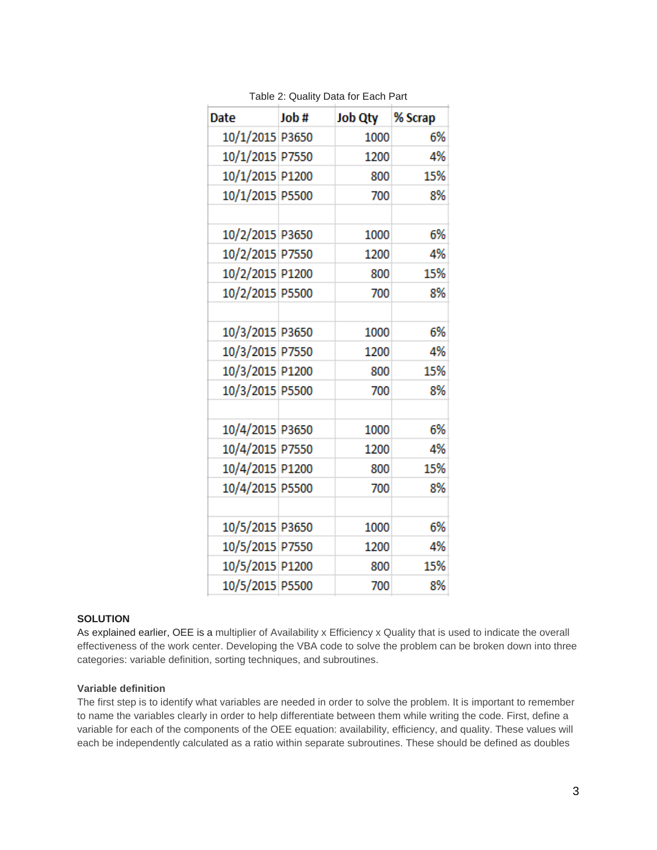| Date            | Job# | Job Qty % Scrap |     |
|-----------------|------|-----------------|-----|
| 10/1/2015 P3650 |      | 1000            | 6%  |
| 10/1/2015 P7550 |      | 1200            | 4%  |
| 10/1/2015 P1200 |      | 800             | 15% |
| 10/1/2015 P5500 |      | 700             | 8%  |
| 10/2/2015 P3650 |      | 1000            | 6%  |
| 10/2/2015 P7550 |      | 1200            | 4%  |
| 10/2/2015 P1200 |      | 800             | 15% |
| 10/2/2015 P5500 |      | 700             | 8%  |
|                 |      |                 |     |
| 10/3/2015 P3650 |      | 1000            | 6%  |
| 10/3/2015 P7550 |      | 1200            | 4%  |
| 10/3/2015 P1200 |      | 800             | 15% |
| 10/3/2015 P5500 |      | 700             | 8%  |
|                 |      |                 |     |
| 10/4/2015 P3650 |      | 1000            | 6%  |
| 10/4/2015 P7550 |      | 1200            | 4%  |
| 10/4/2015 P1200 |      | 800             | 15% |
| 10/4/2015 P5500 |      | 700             | 8%  |
|                 |      |                 |     |
| 10/5/2015 P3650 |      | 1000            | 6%  |
| 10/5/2015 P7550 |      | 1200            | 4%  |
| 10/5/2015 P1200 |      | 800             | 15% |
| 10/5/2015 P5500 |      | 700             | 8%  |

Table 2: Quality Data for Each Part

## **SOLUTION**

As explained earlier, OEE is a multiplier of Availability x Efficiency x Quality that is used to indicate the overall effectiveness of the work center. Developing the VBA code to solve the problem can be broken down into three categories: variable definition, sorting techniques, and subroutines.

#### **Variable definition**

The first step is to identify what variables are needed in order to solve the problem. It is important to remember to name the variables clearly in order to help differentiate between them while writing the code. First, define a variable for each of the components of the OEE equation: availability, efficiency, and quality. These values will each be independently calculated as a ratio within separate subroutines. These should be defined as doubles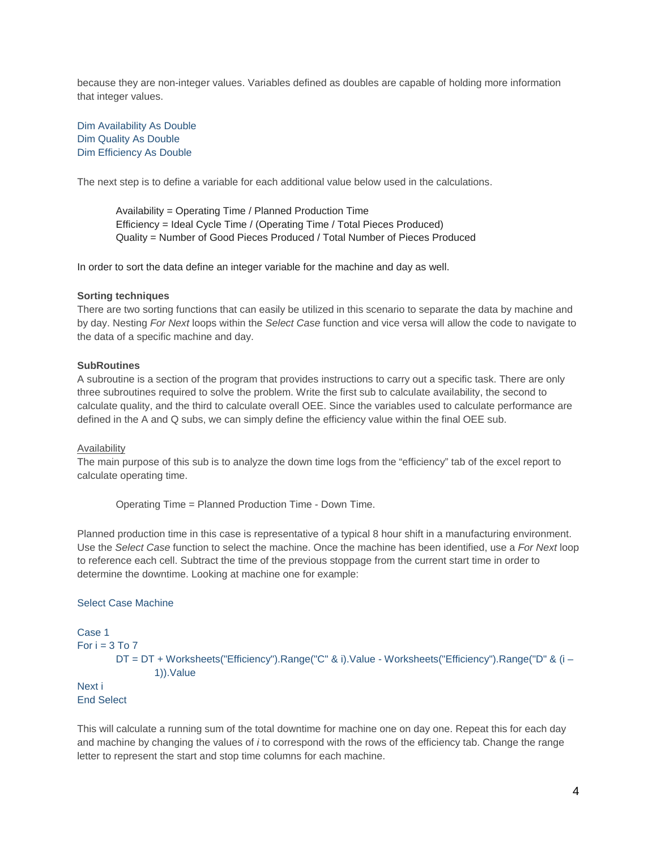because they are non-integer values. Variables defined as doubles are capable of holding more information that integer values.

Dim Availability As Double Dim Quality As Double Dim Efficiency As Double

The next step is to define a variable for each additional value below used in the calculations.

Availability = Operating Time / Planned Production Time Efficiency = Ideal Cycle Time / (Operating Time / Total Pieces Produced) Quality = Number of Good Pieces Produced / Total Number of Pieces Produced

In order to sort the data define an integer variable for the machine and day as well.

## **Sorting techniques**

There are two sorting functions that can easily be utilized in this scenario to separate the data by machine and by day. Nesting *For Next* loops within the *Select Case* function and vice versa will allow the code to navigate to the data of a specific machine and day.

## **SubRoutines**

A subroutine is a section of the program that provides instructions to carry out a specific task. There are only three subroutines required to solve the problem. Write the first sub to calculate availability, the second to calculate quality, and the third to calculate overall OEE. Since the variables used to calculate performance are defined in the A and Q subs, we can simply define the efficiency value within the final OEE sub.

## **Availability**

The main purpose of this sub is to analyze the down time logs from the "efficiency" tab of the excel report to calculate operating time.

Operating Time = Planned Production Time - Down Time.

Planned production time in this case is representative of a typical 8 hour shift in a manufacturing environment. Use the *Select Case* function to select the machine. Once the machine has been identified, use a *For Next* loop to reference each cell. Subtract the time of the previous stoppage from the current start time in order to determine the downtime. Looking at machine one for example:

## Select Case Machine

```
Case 1
For i = 3 To 7
        DT = DT + Worksheets("Efficiency").Range("C" & i).Value - Worksheets("Efficiency").Range("D" & (i –
                1)).Value
Next i
End Select
```
This will calculate a running sum of the total downtime for machine one on day one. Repeat this for each day and machine by changing the values of *i* to correspond with the rows of the efficiency tab. Change the range letter to represent the start and stop time columns for each machine.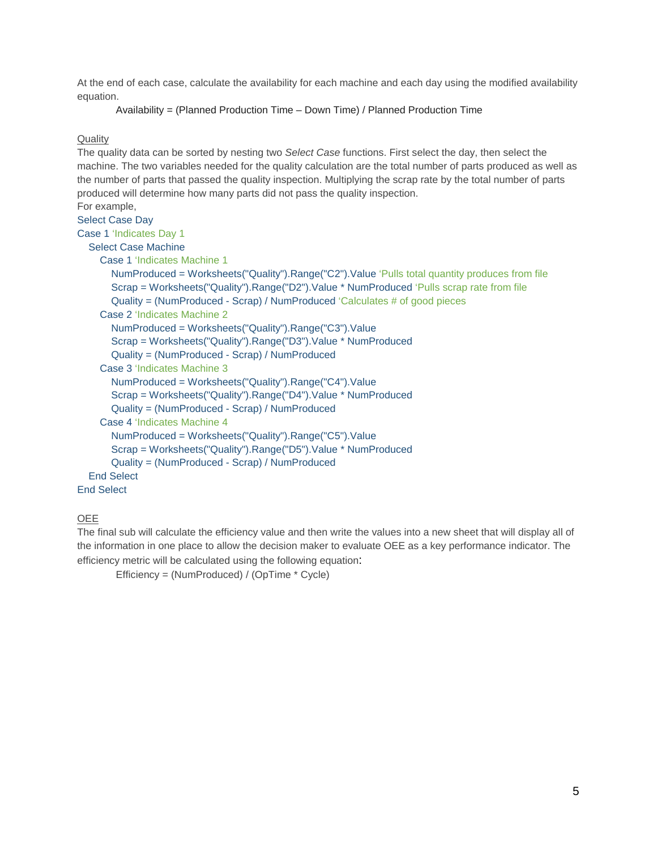At the end of each case, calculate the availability for each machine and each day using the modified availability equation.

```
Availability = (Planned Production Time – Down Time) / Planned Production Time
```
## **Quality**

The quality data can be sorted by nesting two *Select Case* functions. First select the day, then select the machine. The two variables needed for the quality calculation are the total number of parts produced as well as the number of parts that passed the quality inspection. Multiplying the scrap rate by the total number of parts produced will determine how many parts did not pass the quality inspection.

# For example,

# Select Case Day

# Case 1 'Indicates Day 1

# Select Case Machine

Case 1 'Indicates Machine 1

```
 NumProduced = Worksheets("Quality").Range("C2").Value 'Pulls total quantity produces from file
 Scrap = Worksheets("Quality").Range("D2").Value * NumProduced 'Pulls scrap rate from file
 Quality = (NumProduced - Scrap) / NumProduced 'Calculates # of good pieces
```
## Case 2 'Indicates Machine 2

NumProduced = Worksheets("Quality").Range("C3").Value

```
 Scrap = Worksheets("Quality").Range("D3").Value * NumProduced
```

```
 Quality = (NumProduced - Scrap) / NumProduced
```
## Case 3 'Indicates Machine 3

NumProduced = Worksheets("Quality").Range("C4").Value

```
 Scrap = Worksheets("Quality").Range("D4").Value * NumProduced
```

```
 Quality = (NumProduced - Scrap) / NumProduced
```

```
 Case 4 'Indicates Machine 4
```

```
 NumProduced = Worksheets("Quality").Range("C5").Value
 Scrap = Worksheets("Quality").Range("D5").Value * NumProduced
 Quality = (NumProduced - Scrap) / NumProduced
```
#### End Select End Select

## OEE

The final sub will calculate the efficiency value and then write the values into a new sheet that will display all of the information in one place to allow the decision maker to evaluate OEE as a key performance indicator. The efficiency metric will be calculated using the following equation:

Efficiency = (NumProduced) / (OpTime \* Cycle)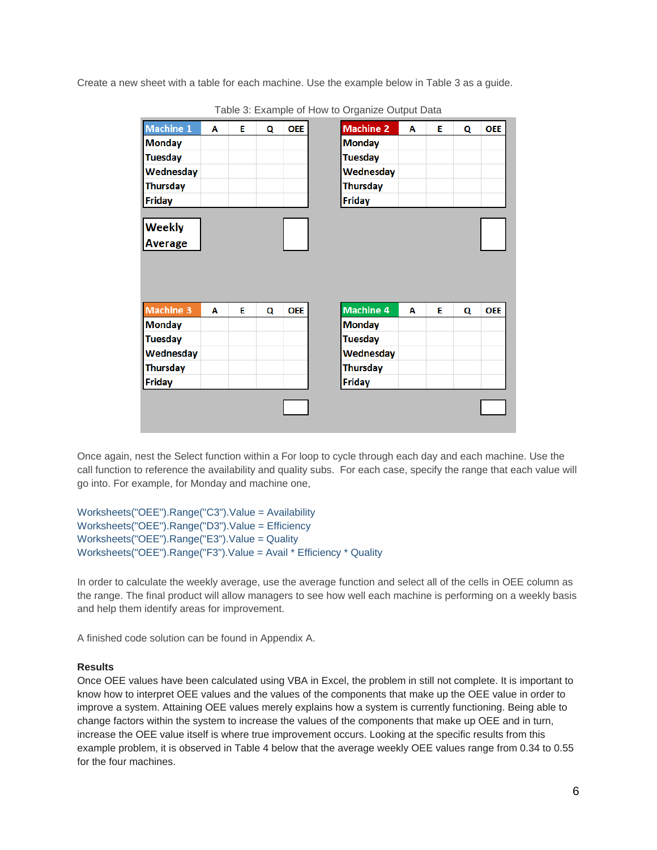Create a new sheet with a table for each machine. Use the example below in Table 3 as a guide.

| <b>Machine 1</b> | Α | E | Q | <b>OEE</b> |
|------------------|---|---|---|------------|
| <b>Monday</b>    |   |   |   |            |
| <b>Tuesday</b>   |   |   |   |            |
| Wednesday        |   |   |   |            |
| Thursday         |   |   |   |            |
| <b>Friday</b>    |   |   |   |            |
|                  |   |   |   |            |
| <b>Weekly</b>    |   |   |   |            |
| <b>Average</b>   |   |   |   |            |
|                  |   |   |   |            |
|                  |   |   |   |            |
|                  |   |   |   |            |
|                  |   |   |   |            |
| <b>Machine 3</b> | Α | E | Q | <b>OEE</b> |
| <b>Monday</b>    |   |   |   |            |
| <b>Tuesday</b>   |   |   |   |            |
| Wednesday        |   |   |   |            |
| Thursday         |   |   |   |            |
| Friday           |   |   |   |            |
|                  |   |   |   |            |
|                  |   |   |   |            |
|                  |   |   |   |            |
|                  |   |   |   |            |

Table 3: Example of How to Organize Output Data

Once again, nest the Select function within a For loop to cycle through each day and each machine. Use the call function to reference the availability and quality subs. For each case, specify the range that each value will go into. For example, for Monday and machine one,

Worksheets("OEE").Range("C3").Value = Availability Worksheets("OEE").Range("D3").Value = Efficiency Worksheets("OEE").Range("E3").Value = Quality Worksheets("OEE").Range("F3").Value = Avail \* Efficiency \* Quality

In order to calculate the weekly average, use the average function and select all of the cells in OEE column as the range. The final product will allow managers to see how well each machine is performing on a weekly basis and help them identify areas for improvement.

A finished code solution can be found in Appendix A.

## **Results**

Once OEE values have been calculated using VBA in Excel, the problem in still not complete. It is important to know how to interpret OEE values and the values of the components that make up the OEE value in order to improve a system. Attaining OEE values merely explains how a system is currently functioning. Being able to change factors within the system to increase the values of the components that make up OEE and in turn, increase the OEE value itself is where true improvement occurs. Looking at the specific results from this example problem, it is observed in Table 4 below that the average weekly OEE values range from 0.34 to 0.55 for the four machines.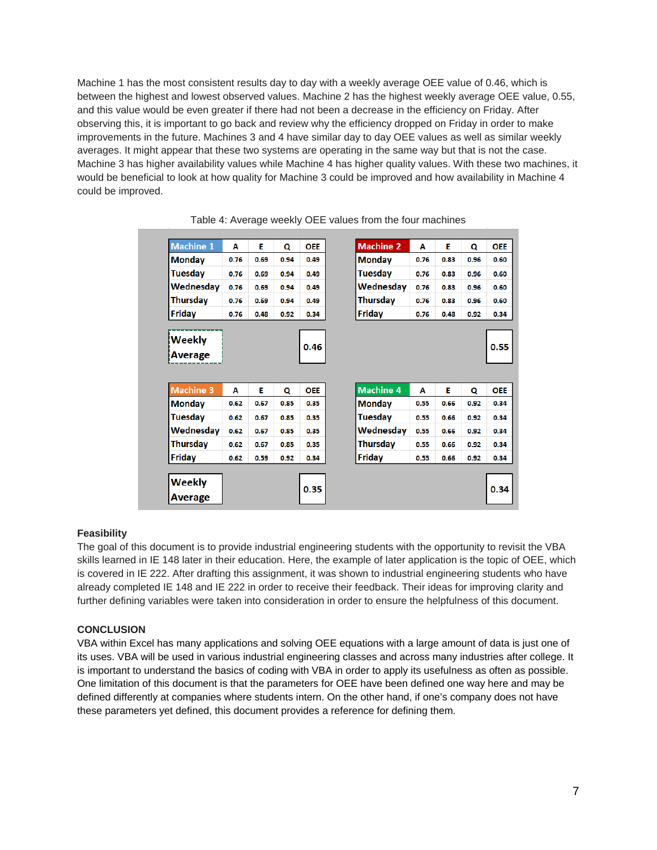Machine 1 has the most consistent results day to day with a weekly average OEE value of 0.46, which is between the highest and lowest observed values. Machine 2 has the highest weekly average OEE value, 0.55, and this value would be even greater if there had not been a decrease in the efficiency on Friday. After observing this, it is important to go back and review why the efficiency dropped on Friday in order to make improvements in the future. Machines 3 and 4 have similar day to day OEE values as well as similar weekly averages. It might appear that these two systems are operating in the same way but that is not the case. Machine 3 has higher availability values while Machine 4 has higher quality values. With these two machines, it would be beneficial to look at how quality for Machine 3 could be improved and how availability in Machine 4 could be improved.

| <b>Machine 1</b> | Α    | Е    | Q    | <b>OEE</b> |
|------------------|------|------|------|------------|
| <b>Monday</b>    | 0.76 | 0.69 | 0.94 | 0.49       |
| Tuesday          | 0.76 | 0.69 | 0.94 | 0.49       |
| Wednesday        | 0.76 | 0.69 | 0.94 | 0.49       |
| <b>Thursday</b>  | 0.76 | 0.69 | 0.94 | 0.49       |
| Friday           | 0.76 | 0.48 | 0.92 | 0.34       |
|                  |      |      |      |            |
| <b>Weekly</b>    |      |      |      | 0.46       |
| Average          |      |      |      |            |
|                  |      |      |      |            |
| <b>Machine 3</b> | Α    | Е    | Q    | <b>OEE</b> |
| <b>Monday</b>    | 0.62 | 0.67 | 0.85 | 0.35       |
| <b>Tuesday</b>   | 0.62 | 0.67 | 0.85 | 0.35       |
| Wednesday        | 0.62 | 0.67 | 0.85 | 0.35       |
| Thursday         | 0.62 | 0.67 | 0.85 | 0.35       |
| Friday           | 0.62 | 0.59 | 0.92 | 0.34       |
|                  |      |      |      |            |
| Weekly           |      |      |      | 0.35       |
| <b>Average</b>   |      |      |      |            |

Table 4: Average weekly OEE values from the four machines

## **Feasibility**

The goal of this document is to provide industrial engineering students with the opportunity to revisit the VBA skills learned in IE 148 later in their education. Here, the example of later application is the topic of OEE, which is covered in IE 222. After drafting this assignment, it was shown to industrial engineering students who have already completed IE 148 and IE 222 in order to receive their feedback. Their ideas for improving clarity and further defining variables were taken into consideration in order to ensure the helpfulness of this document.

## **CONCLUSION**

VBA within Excel has many applications and solving OEE equations with a large amount of data is just one of its uses. VBA will be used in various industrial engineering classes and across many industries after college. It is important to understand the basics of coding with VBA in order to apply its usefulness as often as possible. One limitation of this document is that the parameters for OEE have been defined one way here and may be defined differently at companies where students intern. On the other hand, if one's company does not have these parameters yet defined, this document provides a reference for defining them.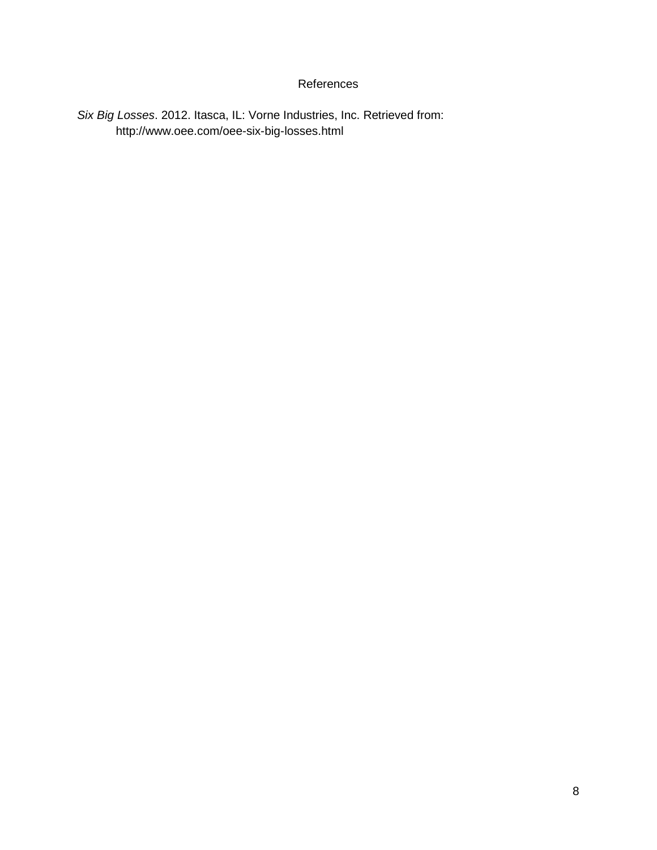# References

*Six Big Losses*. 2012. Itasca, IL: Vorne Industries, Inc. Retrieved from: http://www.oee.com/oee-six-big-losses.html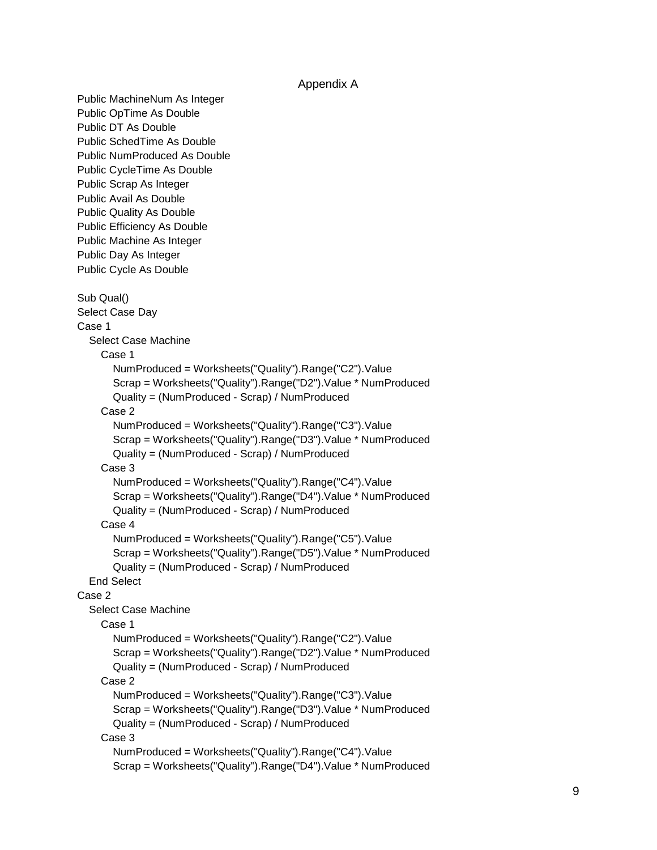## Appendix A

Public MachineNum As Integer Public OpTime As Double Public DT As Double Public SchedTime As Double Public NumProduced As Double Public CycleTime As Double Public Scrap As Integer Public Avail As Double Public Quality As Double Public Efficiency As Double Public Machine As Integer Public Day As Integer Public Cycle As Double Sub Qual() Select Case Day Case 1 Select Case Machine Case 1 NumProduced = Worksheets("Quality").Range("C2").Value Scrap = Worksheets("Quality").Range("D2").Value \* NumProduced Quality = (NumProduced - Scrap) / NumProduced Case 2 NumProduced = Worksheets("Quality").Range("C3").Value Scrap = Worksheets("Quality").Range("D3").Value \* NumProduced Quality = (NumProduced - Scrap) / NumProduced Case 3 NumProduced = Worksheets("Quality").Range("C4").Value Scrap = Worksheets("Quality").Range("D4").Value \* NumProduced Quality = (NumProduced - Scrap) / NumProduced Case 4 NumProduced = Worksheets("Quality").Range("C5").Value Scrap = Worksheets("Quality").Range("D5").Value \* NumProduced Quality = (NumProduced - Scrap) / NumProduced End Select Case 2 Select Case Machine Case 1 NumProduced = Worksheets("Quality").Range("C2").Value Scrap = Worksheets("Quality").Range("D2").Value \* NumProduced Quality = (NumProduced - Scrap) / NumProduced Case 2 NumProduced = Worksheets("Quality").Range("C3").Value Scrap = Worksheets("Quality").Range("D3").Value \* NumProduced Quality = (NumProduced - Scrap) / NumProduced Case 3 NumProduced = Worksheets("Quality").Range("C4").Value Scrap = Worksheets("Quality").Range("D4").Value \* NumProduced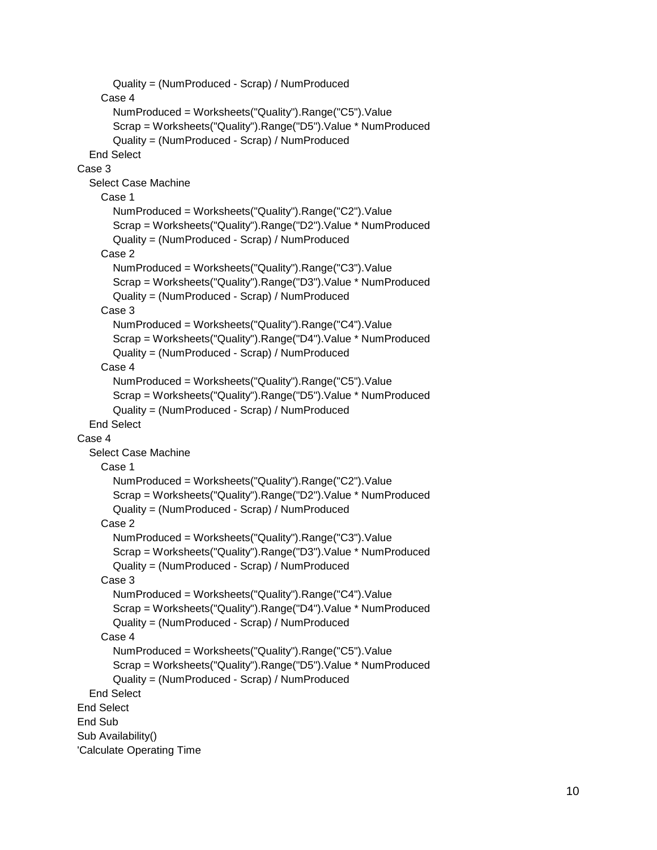```
 Quality = (NumProduced - Scrap) / NumProduced
     Case 4
       NumProduced = Worksheets("Quality").Range("C5").Value
       Scrap = Worksheets("Quality").Range("D5").Value * NumProduced
       Quality = (NumProduced - Scrap) / NumProduced
   End Select
Case 3
   Select Case Machine
     Case 1
       NumProduced = Worksheets("Quality").Range("C2").Value
       Scrap = Worksheets("Quality").Range("D2").Value * NumProduced
       Quality = (NumProduced - Scrap) / NumProduced
     Case 2
       NumProduced = Worksheets("Quality").Range("C3").Value
       Scrap = Worksheets("Quality").Range("D3").Value * NumProduced
       Quality = (NumProduced - Scrap) / NumProduced
     Case 3
       NumProduced = Worksheets("Quality").Range("C4").Value
       Scrap = Worksheets("Quality").Range("D4").Value * NumProduced
       Quality = (NumProduced - Scrap) / NumProduced
     Case 4
       NumProduced = Worksheets("Quality").Range("C5").Value
       Scrap = Worksheets("Quality").Range("D5").Value * NumProduced
       Quality = (NumProduced - Scrap) / NumProduced
   End Select
Case 4
   Select Case Machine
     Case 1
       NumProduced = Worksheets("Quality").Range("C2").Value
       Scrap = Worksheets("Quality").Range("D2").Value * NumProduced
       Quality = (NumProduced - Scrap) / NumProduced
     Case 2
       NumProduced = Worksheets("Quality").Range("C3").Value
       Scrap = Worksheets("Quality").Range("D3").Value * NumProduced
       Quality = (NumProduced - Scrap) / NumProduced
     Case 3
       NumProduced = Worksheets("Quality").Range("C4").Value
       Scrap = Worksheets("Quality").Range("D4").Value * NumProduced
       Quality = (NumProduced - Scrap) / NumProduced
     Case 4
       NumProduced = Worksheets("Quality").Range("C5").Value
       Scrap = Worksheets("Quality").Range("D5").Value * NumProduced
       Quality = (NumProduced - Scrap) / NumProduced
   End Select
End Select
End Sub
Sub Availability()
'Calculate Operating Time
```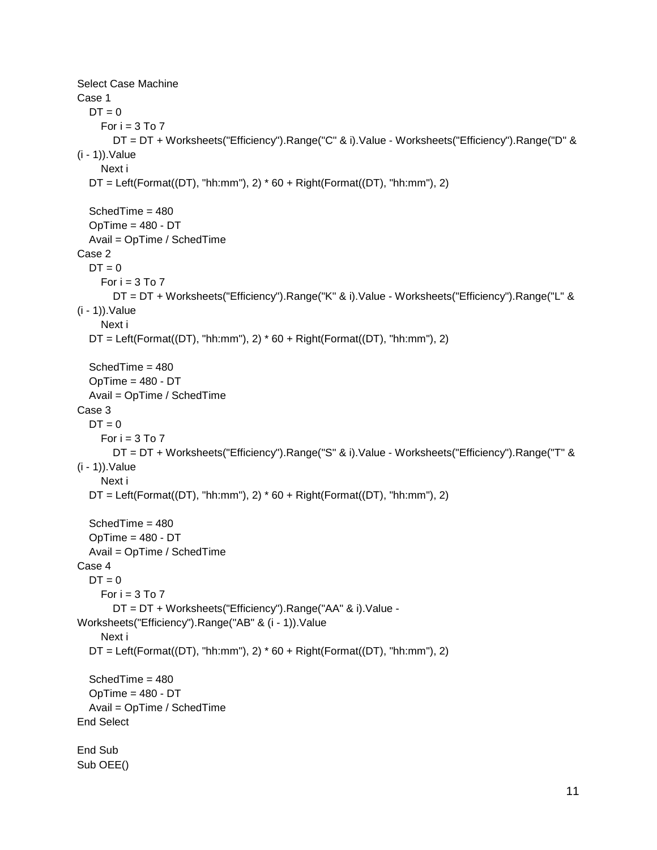```
Select Case Machine
Case 1
  DT = 0For i = 3 To 7 DT = DT + Worksheets("Efficiency").Range("C" & i).Value - Worksheets("Efficiency").Range("D" & 
(i - 1)).Value
     Next i
  DT = Left(Format(DT), "hh:mm"), 2) * 60 + Right(Format(DT), "hh:mm"), 2) SchedTime = 480
   OpTime = 480 - DT
   Avail = OpTime / SchedTime
Case 2
  DT = 0For i = 3 To 7
        DT = DT + Worksheets("Efficiency").Range("K" & i).Value - Worksheets("Efficiency").Range("L" & 
(i - 1)).Value
     Next i
  DT = Left(Format(DT), "hh:mm"), 2) * 60 + Right(Format(DT), "hh:mm"), 2) SchedTime = 480
  OpTime = 480 - DT Avail = OpTime / SchedTime
Case 3
  DT = 0For i = 3 To 7
        DT = DT + Worksheets("Efficiency").Range("S" & i).Value - Worksheets("Efficiency").Range("T" & 
(i - 1)).Value
     Next i
  DT = Left(Format(DT), "hh:mm"), 2) * 60 + Right(Format(DT), "hh:mm"), 2) SchedTime = 480
   OpTime = 480 - DT
   Avail = OpTime / SchedTime
Case 4
  DT = 0For i = 3 To 7 DT = DT + Worksheets("Efficiency").Range("AA" & i).Value -
Worksheets("Efficiency").Range("AB" & (i - 1)).Value
     Next i
  DT = Left(Format(DT), "hh:mm"), 2) * 60 + Right(Format(DT), "hh:mm"), 2) SchedTime = 480
  OpTime = 480 - DT Avail = OpTime / SchedTime
End Select
End Sub
Sub OEE()
```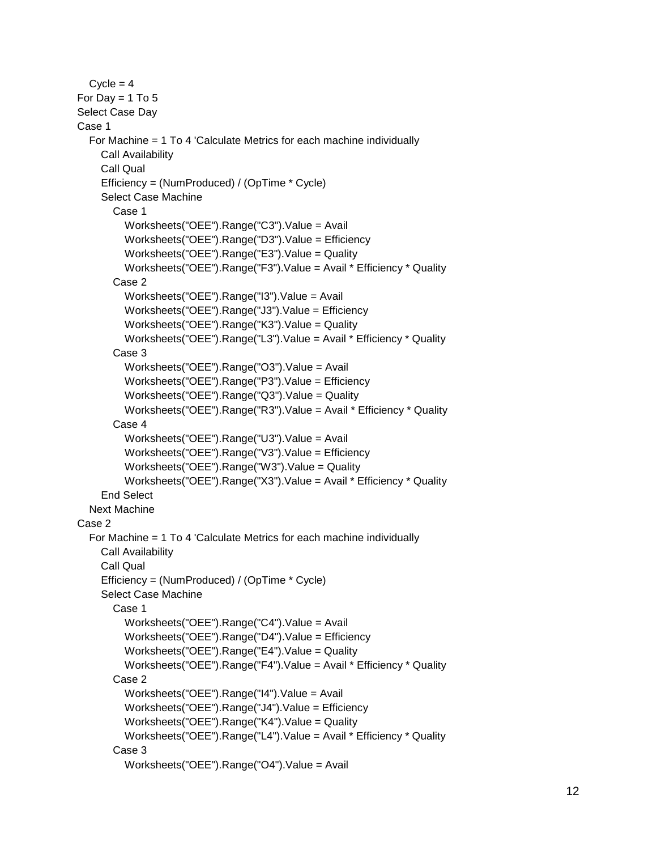$Cycle = 4$ For Day  $= 1$  To 5 Select Case Day Case 1 For Machine = 1 To 4 'Calculate Metrics for each machine individually Call Availability Call Qual Efficiency = (NumProduced) / (OpTime \* Cycle) Select Case Machine Case 1 Worksheets("OEE").Range("C3").Value = Avail Worksheets("OEE").Range("D3").Value = Efficiency Worksheets("OEE").Range("E3").Value = Quality Worksheets("OEE").Range("F3").Value = Avail \* Efficiency \* Quality Case 2 Worksheets("OEE").Range("I3").Value = Avail Worksheets("OEE").Range("J3").Value = Efficiency Worksheets("OEE").Range("K3").Value = Quality Worksheets("OEE").Range("L3").Value = Avail \* Efficiency \* Quality Case 3 Worksheets("OEE").Range("O3").Value = Avail Worksheets("OEE").Range("P3").Value = Efficiency Worksheets("OEE").Range("Q3").Value = Quality Worksheets("OEE").Range("R3").Value = Avail \* Efficiency \* Quality Case 4 Worksheets("OEE").Range("U3").Value = Avail Worksheets("OEE").Range("V3").Value = Efficiency Worksheets("OEE").Range("W3").Value = Quality Worksheets("OEE").Range("X3").Value = Avail \* Efficiency \* Quality End Select Next Machine Case 2 For Machine = 1 To 4 'Calculate Metrics for each machine individually Call Availability Call Qual Efficiency = (NumProduced) / (OpTime \* Cycle) Select Case Machine Case 1 Worksheets("OEE").Range("C4").Value = Avail Worksheets("OEE").Range("D4").Value = Efficiency Worksheets("OEE").Range("E4").Value = Quality Worksheets("OEE").Range("F4").Value = Avail \* Efficiency \* Quality Case 2 Worksheets("OEE").Range("I4").Value = Avail Worksheets("OEE").Range("J4").Value = Efficiency Worksheets("OEE").Range("K4").Value = Quality Worksheets("OEE").Range("L4").Value = Avail \* Efficiency \* Quality Case 3 Worksheets("OEE").Range("O4").Value = Avail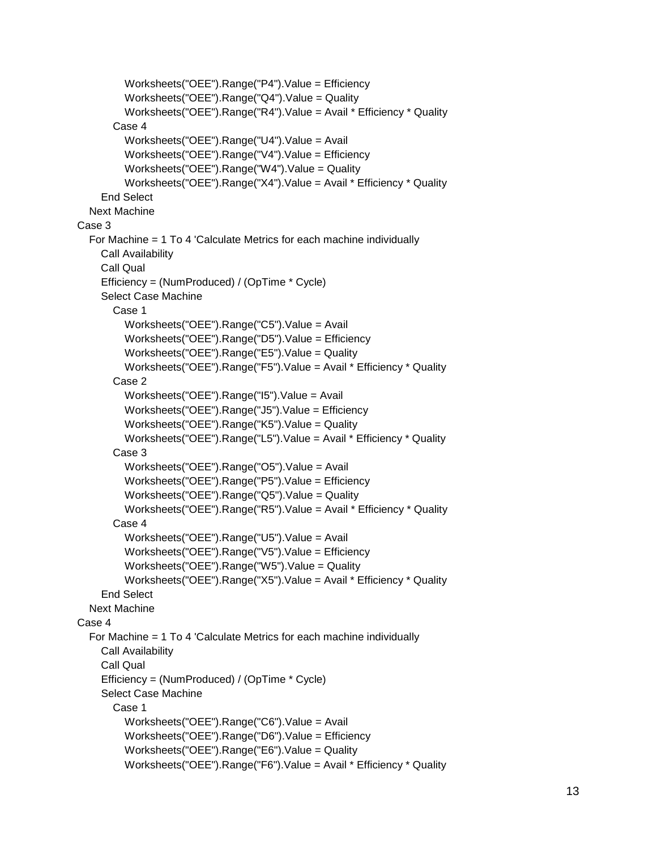```
 Worksheets("OEE").Range("P4").Value = Efficiency
          Worksheets("OEE").Range("Q4").Value = Quality
          Worksheets("OEE").Range("R4").Value = Avail * Efficiency * Quality
        Case 4
          Worksheets("OEE").Range("U4").Value = Avail
          Worksheets("OEE").Range("V4").Value = Efficiency
          Worksheets("OEE").Range("W4").Value = Quality
          Worksheets("OEE").Range("X4").Value = Avail * Efficiency * Quality
     End Select
   Next Machine
Case 3
   For Machine = 1 To 4 'Calculate Metrics for each machine individually
     Call Availability
     Call Qual
     Efficiency = (NumProduced) / (OpTime * Cycle)
     Select Case Machine
        Case 1
          Worksheets("OEE").Range("C5").Value = Avail
          Worksheets("OEE").Range("D5").Value = Efficiency
          Worksheets("OEE").Range("E5").Value = Quality
          Worksheets("OEE").Range("F5").Value = Avail * Efficiency * Quality
        Case 2
          Worksheets("OEE").Range("I5").Value = Avail
          Worksheets("OEE").Range("J5").Value = Efficiency
          Worksheets("OEE").Range("K5").Value = Quality
          Worksheets("OEE").Range("L5").Value = Avail * Efficiency * Quality
        Case 3
          Worksheets("OEE").Range("O5").Value = Avail
          Worksheets("OEE").Range("P5").Value = Efficiency
          Worksheets("OEE").Range("Q5").Value = Quality
          Worksheets("OEE").Range("R5").Value = Avail * Efficiency * Quality
        Case 4
          Worksheets("OEE").Range("U5").Value = Avail
          Worksheets("OEE").Range("V5").Value = Efficiency
          Worksheets("OEE").Range("W5").Value = Quality
          Worksheets("OEE").Range("X5").Value = Avail * Efficiency * Quality
     End Select
   Next Machine
Case 4
   For Machine = 1 To 4 'Calculate Metrics for each machine individually
     Call Availability
     Call Qual
     Efficiency = (NumProduced) / (OpTime * Cycle)
     Select Case Machine
        Case 1
          Worksheets("OEE").Range("C6").Value = Avail
          Worksheets("OEE").Range("D6").Value = Efficiency
          Worksheets("OEE").Range("E6").Value = Quality
          Worksheets("OEE").Range("F6").Value = Avail * Efficiency * Quality
```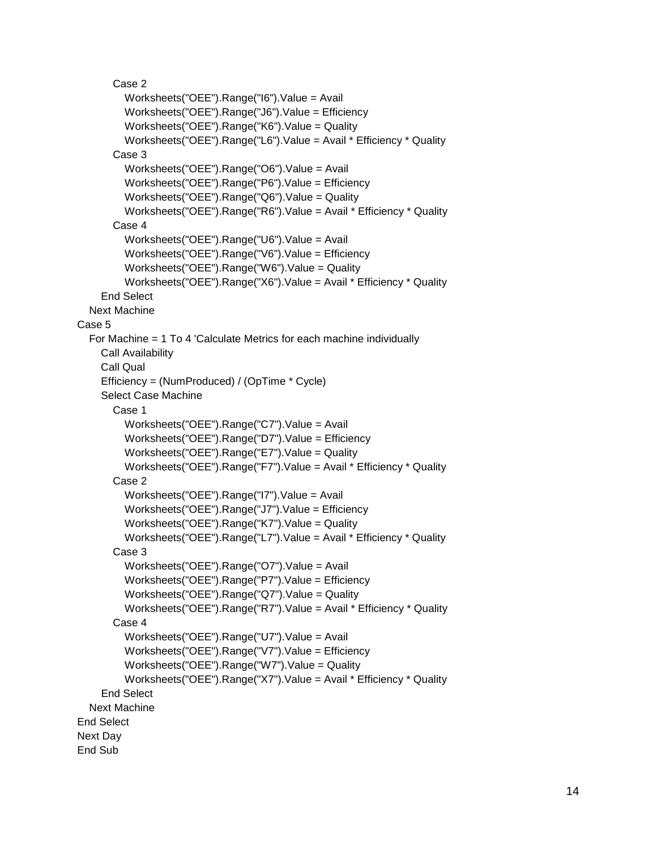Case 2 Worksheets("OEE").Range("I6").Value = Avail Worksheets("OEE").Range("J6").Value = Efficiency Worksheets("OEE").Range("K6").Value = Quality Worksheets("OEE").Range("L6").Value = Avail \* Efficiency \* Quality Case 3 Worksheets("OEE").Range("O6").Value = Avail Worksheets("OEE").Range("P6").Value = Efficiency Worksheets("OEE").Range("Q6").Value = Quality Worksheets("OEE").Range("R6").Value = Avail \* Efficiency \* Quality Case 4 Worksheets("OEE").Range("U6").Value = Avail Worksheets("OEE").Range("V6").Value = Efficiency Worksheets("OEE").Range("W6").Value = Quality Worksheets("OEE").Range("X6").Value = Avail \* Efficiency \* Quality End Select Next Machine Case 5 For Machine = 1 To 4 'Calculate Metrics for each machine individually Call Availability Call Qual Efficiency = (NumProduced) / (OpTime \* Cycle) Select Case Machine Case 1 Worksheets("OEE").Range("C7").Value = Avail Worksheets("OEE").Range("D7").Value = Efficiency Worksheets("OEE").Range("E7").Value = Quality Worksheets("OEE").Range("F7").Value = Avail \* Efficiency \* Quality Case 2 Worksheets("OEE").Range("I7").Value = Avail Worksheets("OEE").Range("J7").Value = Efficiency Worksheets("OEE").Range("K7").Value = Quality Worksheets("OEE").Range("L7").Value = Avail \* Efficiency \* Quality Case 3 Worksheets("OEE").Range("O7").Value = Avail Worksheets("OEE").Range("P7").Value = Efficiency Worksheets("OEE").Range("Q7").Value = Quality Worksheets("OEE").Range("R7").Value = Avail \* Efficiency \* Quality Case 4 Worksheets("OEE").Range("U7").Value = Avail Worksheets("OEE").Range("V7").Value = Efficiency Worksheets("OEE").Range("W7").Value = Quality Worksheets("OEE").Range("X7").Value = Avail \* Efficiency \* Quality End Select Next Machine End Select Next Day End Sub